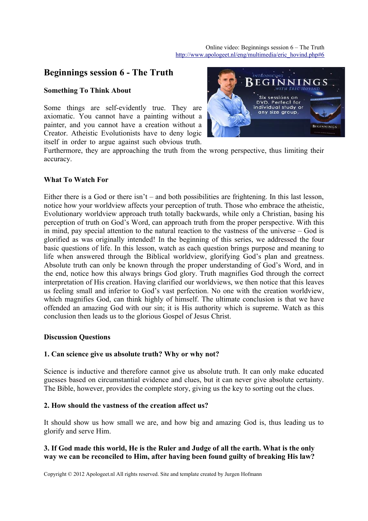# **Beginnings session 6 - The Truth**

#### **Something To Think About**

Some things are self-evidently true. They are axiomatic. You cannot have a painting without a painter, and you cannot have a creation without a Creator. Atheistic Evolutionists have to deny logic itself in order to argue against such obvious truth.



Furthermore, they are approaching the truth from the wrong perspective, thus limiting their accuracy.

## **What To Watch For**

Either there is a God or there isn't – and both possibilities are frightening. In this last lesson, notice how your worldview affects your perception of truth. Those who embrace the atheistic, Evolutionary worldview approach truth totally backwards, while only a Christian, basing his perception of truth on God's Word, can approach truth from the proper perspective. With this in mind, pay special attention to the natural reaction to the vastness of the universe – God is glorified as was originally intended! In the beginning of this series, we addressed the four basic questions of life. In this lesson, watch as each question brings purpose and meaning to life when answered through the Biblical worldview, glorifying God's plan and greatness. Absolute truth can only be known through the proper understanding of God's Word, and in the end, notice how this always brings God glory. Truth magnifies God through the correct interpretation of His creation. Having clarified our worldviews, we then notice that this leaves us feeling small and inferior to God's vast perfection. No one with the creation worldview, which magnifies God, can think highly of himself. The ultimate conclusion is that we have offended an amazing God with our sin; it is His authority which is supreme. Watch as this conclusion then leads us to the glorious Gospel of Jesus Christ.

#### **Discussion Questions**

#### **1. Can science give us absolute truth? Why or why not?**

Science is inductive and therefore cannot give us absolute truth. It can only make educated guesses based on circumstantial evidence and clues, but it can never give absolute certainty. The Bible, however, provides the complete story, giving us the key to sorting out the clues.

### **2. How should the vastness of the creation affect us?**

It should show us how small we are, and how big and amazing God is, thus leading us to glorify and serve Him.

# **3. If God made this world, He is the Ruler and Judge of all the earth. What is the only way we can be reconciled to Him, after having been found guilty of breaking His law?**